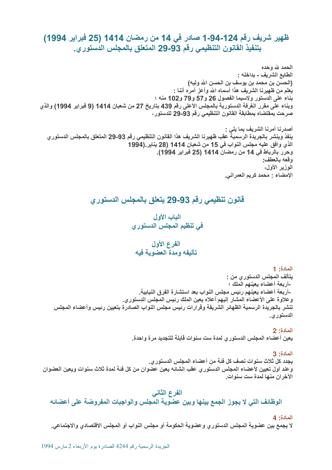# ظهير شريف رقم 124-94-1 صادر في 14 من رمضان 1414 (25 فبراير 1994) . بتنفيذ القانون التنظيمي رقم 93-29 المتعلق بالمجلس الدستوري.

الحمد لله وحده الطابع الشريف ـ بداخله : ـ (الحسن بن محمد بن يوسف بن الحسن الله وليه) \_يعلم من ظهيرنـا الشريف هذا أسمـاه الله وأعز أمره أننـا : بناء على الدستور ولاسيما الفصول 26 و77 وو72 و102 منه ؛ وبناء على مقرر الغرفة الدستورية بالمجلس الأعلى رقم 439 بتاريخ 27 من شعبان 1414 (9 فبراير 1994) والذي صرحت بمقتضاه بمطابقة القانون التنظيمي رقم 93-29 للدستور ،

أصدرنا أمرنا الشريف بما يلي : ينفذ وينشر بالجريدة الرسمية عقب ظهيرنا الشريف هذا القانون التنظيمي رقم 93-29 المتعلق بالمجلس الدستوري الذي وافق عليه مجلس النواب في 15 من شعبا*ن* 1414 (28 يناير.(1994 . وحرر بالرباط في 14 من رمضان 1414 (25 فبراير 1994). **وقعه بالعطف:** الوزير الأول، الإمضاء : محمد كريم العمراني.

# ِ قَانُون تَنْظَيمي رقم 93-29 يتعلق بالمجلس الدستور*ي*

الباب الأول ً في تنظيم المجلس الدستور *ي* 

## الفرع الأول \_ تأليفه ومدة العضوية فيه

### المادة: 1

يتألف المجلس الدستورى من : -أربعة أعضاء يعينهم الملك ؛ -أربعة أعضاء يعينهم رئيس مجلس النواب بعد استشارة الفرق النيابية<sub>-</sub> وعلاوة على الأعضاء المشار إليهم أعلاه يعين الملك رئيس المجلس الدستوري. \_تنشر بالجريدة الرسمية الظهائر الشريفة وقرارات رئيس مجلس النواب الصادرة بتعيين رئيس وأعضاء المجلس الدستوري.

## **2 :**S("

ـ يعين أعضاء المجلس الدستوري لمدة ست سنوات قابلة للتجديد مرة واحدة.

## **3 :**S("

يجدد كل ثلاث سنوات نصف كل فئة من أعضاء المجلس الدستوري. وعند أول تعيين لأعضاء المجلس الدستوري عقب إنشائه يعين عضوان من كل فئة لمدة ثلاث سنوات ويعين العضوان الآخران منها لمدة ست سنوات.

## الفرع الثاني

الوظائف التي لا يجوز الجمع بينها وبين عضوية المجلس والواجبات المفروضة على أعضائه

#### **4 :**S("

لا يجمع بين عضوية المجلس الدستور ي وعضوية الحكومة أو مجلس النواب أو المجلس الاقتصادي والاجتماعي.

الجريدة الرسمية رقم 4244 الصادرة يوم الأربعاء 2 مارس 1994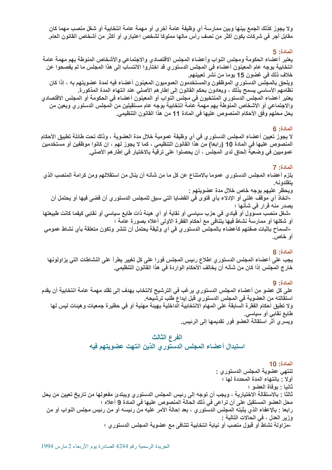. ولا يجوز كذلك الجمع بينها وبين ممارسة أي وظيفة عامة أخرى أو مهمة عامة انتخابية أو شغل منصب مهما كان ً مقابل أجر في شركات يكون أكثر من نصف رأس مالها مملوكا لشخص اعتباري أو أكثر من أشخاص القانون العام.

### **5 :**S("

يعتبر أعضاء الحكومة ومجلس النواب وأعضاء المجلس الاقتصادى والاجتماعي والأشخاص المنوطة بهم مهمة عامة انتخابية بوجه عام المعينون أعضاء في المجلس الدستوري قد اختاروا الانتساب إلى هذا المجلس ما لم يفصحوا عن خلاف ذلك في غضون 15 يوما من نشر تعيينهم. ويلحق بالمجلس الدستور ي الموظفون والمستخدمون العموميون المعينون أعضاء فيه لمدة عضويتهم به ، إذا كان . نظامهم الأساسي يسمح بذلك ، ويعادون بحكم القانون إلى إطارهم الأصلي عند انتهاء المدة المذكورة. ـ يعتبر أعضاء المجلس الدستوري المنتخبون في مجلس النواب أو المعينون أعضاء في الحكومة أو المجلس الاقتصادي . والاجتماعي أو الأشخاص المنوطة بهم مهمة عامة انتخابية بوجه عام مستقيلين من المجلس الدستوري ويعين من يحل محلهم وفق الأحكام المنصوص عليها في المادة 11 من هذا القانون التنظيمي.

### **6 :**S("

لا يجوز تعيين أعضاء المجلس الدستور ي في أي وظيفة عمومية خلال مدة العضوية ، وذلك تحت طائلة تطبيق الأحكام المنصوص عليها في المادة 10 (رابعا) من هذا القانون التنظيمي ، كما لا يجوز لـهم ، إن كانوا موظفين أو مستخدمين عموميين في وضعية إلحاق لدى المجلس ، أن يحصلوا على ترقية بالاختيار في إطارهم الأصلي.

### المادة: 7

يلزم أعضاء المجلس الدستور ي عموما بالامتناع عن كل ما من شأنه أن ينال من استقلالهم ومن كرامة المنصب الذي يتقلدونه.

ويحظر عليهم بوجه خاص خلال مدة عضويتهم :

-اتخاذ أي موقف علني أو الإدلاء بأي فتوى في القضايا التي سبق للمجلس الدستور ي أن قض*ى* فيها أو يحت*مل* أن يصدر منه قرار في شأنها ؛

-شغل منصب مسوّول أو قيادي في حزب سيا*سي* أو نقابةً أو أي هيئةً ذات طابع سياس*ي* أو نقابي كيفما كانت طبيعتها ِ أَو شَكَلْهَا أَو ممارسةً نَشَاطُ فَيها يَتَنَافَى مع أحكام الفَقَرة الأولى أعلاه بصورة عامةً ؛

-السماح بإثبات صفتهم كأعضاء بالمجلس الدستوري ف*ي* أ*ي* وثيقة يحتمل أن تنشر وتكون متعلقة بأي نشاط عموم*ي* أو **خ**اص.

### **8 :**S("

ـ يجب على أعضاء المجلس الدستور ي اطلاع رئيس المجلس فورا على كل تغيير يطرأ على النشاطات التي يزاولونها خارج المجلس إذا كان من شأنه أن يخالف الأحكام الواردة في هذا القانون التنظيمي.

### **9 :**S("

على كل عضو من أعضاء المجلس الدستور ي يرغب في الترشيح لانتخاب يهدف إلى تقلد مهمة عامة انتخابية أن يقدم ــ استقالته من العضوية في المجلس الدستور ي قبل إيداع طلب ترشيحه. . ولا تطبق أحكام الفقرة السابقة على المهام الانتخابية الداخلية بهيئة مهنية أو في حظيرة جمعيات وهيئات ليس لها طابع نقاب*ي* أو سياس*ي*. ويسري أثر استقالة العضو فور تقديمها إلى الرئيس.

### الفرع الثالث

استبدال أعضاء المجلس الدستوري الذين انتهت عضويتهم فيه

**10 :**S(" ـ تنتهي عضوية المجلس الدستور ي : أولا : بانتهاء المدة المحددة لها ؛ ثانيا : بوفاة العضو ؛ ثالثا : بالاستقالة الاختيارية ، ويجب أن توجه إلى رئيس المجلس الدستور ي ويبتدئ مفعولها من تاريخ تعيين من يحل . محل العضو المستقيل على أن تراعى في ذلك الحالة المنصوص عليها في المادة 9 أعلاه ؛ رابعا : بالإعفاء الذي يثبته المجلس الدستوري ، بعد إحالة الأمر عليه من رئيسه أو من رئيس مجلس النواب أو من وزير العدل ، في الحالات التالية : -مزاولة نشاط أو قبول منصب أو نيابة انتخابية تتنافى مع عضوية المجلس الدستور ي ؛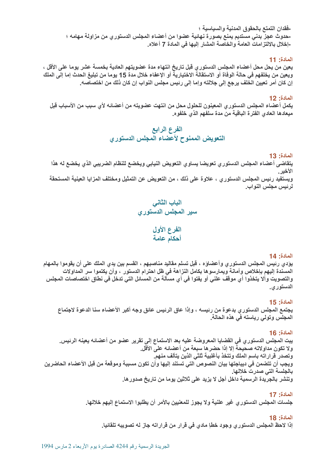-فقدان التمتع بالحقوق المدنية وال*سي*اسية ؛ -حدوث عجز بدن*ي* مستديم يمنع بصورة نهائية عضوا من أعضاء المجلس الدستوري من مزاولة مهامه ؛ -إخلال بالالتزامات العامة والخاصة المشار إليها ف*ي* المادة 7 أعلاه<sub>.</sub>

### **11 :**S("

ـ يعين من يحل محل أعضاء المجلس الدستوري قبل تاريخ انتهاء مدة عضويتهم العادية بخمسة عشر يوما على الأقل ، ويعين من يخلفهم في حالة الوفاة أو الاستقالة الاختيارية أو الإعفاء خلال مدة 15 يوما من تبليغ الحدث إما إلى الملك ٍ إن كان أمر تعيين الخلف يرجع إلى جلالته وإما إل*ى ر*ئيس مجلس النواب إن كان ذلك من اختصاصه.

#### **12 :**S("

ـ يكمل أعضاء المجلس الدستور ي المعينون للحلول محل من انتهت عضويته من أعضائه لأي سبب من الأسباب قبل ً ميعادها العادي الفترة الباقية من مدة سلفهم الذ*ي* خلفوه.

## الفرع الرابع التعويض الممنوح لأعضاء المجلس الدستوري

### **المادة: 13**

ـ يتقاضى أعضاء المجلس الدستور ي تعويضا يساو ي التعويض النيابي ويخضع للنظام الضريبي الذي يخضع له هذا الأخير ويستفيد رئيس المجلس الدستوري ، علاوة على ذلك ، من التعويض عن التمثيل ومختلف المزايا العينية المستحقة

لرئيس مجلس النواب.

# الباب الثاني سير المجلس الدستور*ي*

الفرع الأول أحكام عامة

### **14 :**S("

ـ يؤدي رئيس المجلس الدستور ي وأعضاوه ، قبل تسلم مقاليد مناصبهم ، القسم بين يدي الملك على أن يقوموا بالمهام المسندة إليهم بإخلاص وأمانـة ويمارسوها بكامل النزاهة في ظل احترام الدستور ، وأن يكتموا سر المداولات . والتصويت وألا يتخذوا أي موقف علني أو يفتوا في أي مسألة من المسائل التي تدخل في نطاق اختصاصات المجلس الدستور ي.

### **15 :**S("

ـ يجتمع المجلس الدستوري بدعوة من رئيسه ، وإذا عاق الرئيس عائق وجه أكبر الأعضاء سنا الدعوة لاجتماع المجلس وتولي رياسته في هذه الحالة.

## **16 :**S("

يبت المجلس الدستور ي في القضايا المعروضة عليه بعد الاستماع إلى تقرير عضو من أعضائه يعينه الرئيس. ولا تكون مداولاته صحيحة إلا إذا حضرها سبعة من أعضائه على الأقل. وتصدر قراراته باسم الملك وتتخذ بأغلبية ثلثي الذين يتألف منهم. ويجب أن تتضمن في ديباجتها بيان النصوص التي تستند إليها وأن تكون مسببة وموقعة من قبل الأعضاء الحاضرين بالجلسة التي صدرت خلالها. وتنشر بالجريدة الرسمية داخل أجل لا يزيد على ثلاثين يوما من تاريخ صدور ها.

### **17 :**S("

جلسات المجلس الدستوري غير علنية ولا يجوز للمعنيين بالأمر أن يطلبوا الاستماع إليهم خلالها.

#### **18 :**S("

ِ إِذَا لاحظ المجلس الدستور ي وجود خطاٍ مادي في قرار من قراراته جاز له تصويبه تلقائيا.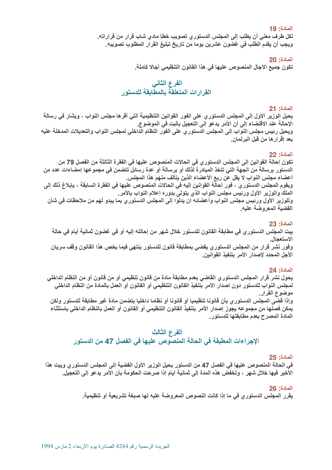المادة: 19

ـ لكل طرف معني أن يطلب إلى المجلس الدستور ي تصويب خطإ مادي شاب قرار من قراراته. ويجب أن يقدم الطلب في غضون عشرين يوما من تاريخ تبليغ القرار المطلوب تصويبه.

**20 :**S("

ـ تكون جميع الآجال المنصوص عليها في هذا القانون التنظيمي آجالا كاملة.

## الفرع الثاني القرارات المتعلقة بالمطابقة للدستور

### **21 :**S("

يحيل الوزير الأول إلى المجلس الدستوري على الفور القوانين التنظيمية التي أقرها مجلس النواب ، ويشار في رسالة 3\j("Q"'f-02&"D"bB-M@D"bE&H-%BN"7Y ويحيل رئيس مجلس النواب إلى المجلس الدستور ي على الفور النظام الداخلي لمجلس النواب والتعديلات المدخلة عليه بعد إقرار ها من قبل البرلمان.

### **22 :**S("

ـ تكون إحالة القوانين إلى المجلس الدستور ي في الحالات المنصوص عليها في الفقرة الثالثة من الفصل 79 من الدستور برسالة من الجهة التي تتخذ المبادرة لذلك أو برسالة أو عدة رسائل تتضمن في مجموعها إمضاءات عدد من أعضاء مجلس النواب لا يقل عن ربع الأعضاء الذين يتألف منهم هذا المجلس. ويقوم المجلس الدستور ي ، فور إحالة القوانين إليه في الحالات المنصوص عليها في الفقرة السابقة ، بإبلاغ ذلك إلى الملك والوزير الأول ورئيس مجلس النواب الذي يتولى بدوره إعلام النواب بالأمر. وللوزير الأول ورئيس مجلس النواب وأعضائه أن يدلوا إلى المجلس الدستوري بما يبدو لهم من ملاحظات في شأن القضية المعروضة عليه.

### **23 :**S("

ـ يبت المجلس الدستور ي في مطابقة القانون للدستور خلال شهر من إحالته إليه أو في غضون ثمانية أيام في حالة الاستعجال وفور نشر قرار من المجلس الدستوري يقضي بمطابقة قانون للدستور ينتهي فيما يخص هذا القانون وقف سريان الأجل المحدد لإصدار الأمر بتنفيذ القوانين.

### **24 :**S("

ـ يحول نشر قرار المجلس الدستوري القاضي بعدم مطابقة مادة من قانون تنظيمي أو من قانون أو من النظام الداخلي ـ لمجلس النواب للدستور دون إصدار الأمر بتنفيذ القانون التنظيمي أو القانون أو العمل بالمادة من النظام الداخلي موضوع القرار.

وإذا قضى المجلس الدستور ي بأن قانونا تنظيميا أو قانونا أو نظاما داخليا يتضمن مادة غير مطابقة للدستور ولكن \_يمكن فصلها من مجموعه يجوز إصدار الأمر بتنفيذ القانون التنظيمي أو القانون أو العمل بالنظام الداخلي باستثناء المادة المصرح بعدم مطابقتها للدستور.

### الفرع الثالث

## &,-"J fG\$"-/Br G%("N"5"N!;("cEkY

### **25 :**S("

. في الحالة المنصوص عليها في الفصل 47 من الدستور يحيل الوزير الأول القضية إلى المجلس الدستور ٍ ويبت هذا الأخير فيها خلال شهر ، وتخفض هذه المدة إلى ثمانية أيام إذا صرحت الحكومة بأن الأمر يدعو إلى التعجيل.

### **26 :**S("

ـ يقرر المجلس الدستوري في ما إذا كانت النصوص المعروضة عليه لها صبغة تشريعية أو تنظيمية.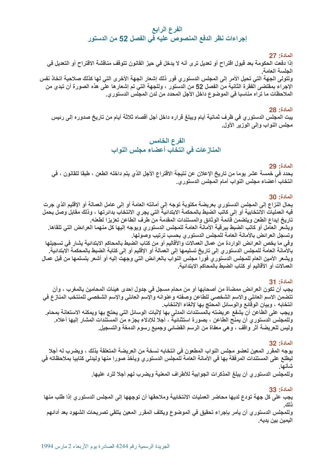## الفرع الرابع ً إجراءات نظر الدفع المنصوص عليه في الفصل 52 من الدستور

### **27 :**S("

ِ إِذَا دفعت الحكومة بعد قبول اقتراح أو تعديل ترى أنه لا يدخل في حيز القانون تتوقف مناقشة الاقتراح أو التعديل ف*ي* الحلسة العامة. وتتولى الجهة التي تحيل الأمر إلى المجلس الدستوري فور ذلك إشعار الجهة الأخرى التي لها كذلك صلاحية اتخاذ نفس ـ الإجراء بمقتضى الفقرة الثانية من الفصل 52 من الدستور ، وللجهة التي تم إشعار ها على هذه الصورة أن تبدي من الملاحظات ما تراه مناسبا في الموضوع داخل الأجل المحدد من لدن المجلس الدستوري.

### **28 :**S("

ـ يبت المجلس الدستور ي في ظرف ثمانية أيام ويبلغ قراره داخل أجل أقصاه ثلاثة أيام من تاريخ صدوره إلى رئيس مجلس النواب وإلى الوزير الأول.

# الفرع الخامس

## المنازعات في انتخاب أعضاء مجلس النواب

### المادة: 29

\_ يحدد في خمسة عشر يوما من تاريخ الإعلان عن نتيجة الاقتراع الأجل الذي يتم داخله الطعن ، طبقا للقانون ، في انتخاب أعضاء مجلس النواب أمام المجلس الدستوري.

### **30 :**S("

يحال النزاع إلى المجلس الدستوري بعريضة مكتوبة توجه إلى أمانته العامة أو إلى عامل العمالة أو الإقليم الذي جرت ً فيه العمليات الانتخابية أو إل*ى* كاتب الضبط بالمحكمة الابتدائية التي يجر ي الانتخاب بدائرتها ، وذلك مقابل وصل يحمل \_ تاريخ إيداع الطعن ويتضمن قائمة الوثائق والمستندات المقدمة من طرف الطاعن تعزيزا لطعنه.

ويشعر العامل أو كاتب الضبط ببرقية الأمانة العامة للمجلس الدستوري ويوجه إليها كل منهما العرائض التي تلقاها. وتسجل العرائض بالأمانة العامة للمجلس الدستوري بحسب ترتيب وصولها.

وفي ما يخص العرائض الواردة من عمال العمالات والأقاليم أو من كتاب الضبط بالمحاكم الابتدائية يشار في تسجيلها ـ بـالأمانـة الـعامـة للمـجلس الدستور ي إلى تـاريخ تسليمـها إلى الـعمالـة أو الإقليم أو إلى كتـابـة الضبط بـالمحكمـة الابتدائيـة ويشعر الأمين العام للمجلس الدستوري فورا مجلس النواب بالعرائض التي وجهت إليه أو أشعر بتسلمها من قبل عمال العمالات أو الأقاليم أو كتاب الضبط بالمحاكم الابتدائية.

### **31 :**S("

. يجب أن تكون العرائض ممضاة من أصحابها أو من محام مسجل في جدول إحدى هيئات المحامين بالمغرب ، وأن تتضمن الاسم العائلي والاسم الشخصي للطاعن وصفته وعنوانه والإسم العائلي والإسم الشخصي للمنتخب المنازع في انتخابه ، وبيان الوقائع والوسائل المحتج بها لإلغاء الانتخاب.

ويجب على الطاعن أن يشفع عريضته بالمستندات المدلى بها لإثبات الوسائل التي يحتج بها ويمكنه الاستعانة بمحام. وللمجلس الدستوري أن يمنح الطاعن ، بصورة استثنائية ، أجلا للإدلاء بجزء من المستندات المشار إليها أعلاه. وليس للعريضة أثر واقف ، وهي معفاة من الرسم القضائي وجميع رسوم الدمغة والتسجيل.

### **32 :**S("

ـ يوجه المقرر المعين لعضو مجلس النواب المطعون في انتخابه نسخة من العريضة المتعلقة بذلك ، ويضرب له أجلا اليطلع على المستندات المرفقة بها في الأمانة العامة للمجلس الدستور ي ويأخذ صورا منها وليدلي كتابيا بملاحظاته في شأنها.

وللمجلس الدستوري أن يبلغ المذكرات الجوابية للأطراف المعنية ويضرب لهم أجلا للرد عليها.

## **33 :**S("

ـ يجب على كل جهة تودع لديها محاضر العمليات الانتخابية وملاحقها أن توجهها إلى المجلس الدستور ي إذا طلب منها <u>ذلك.</u>

وللمجلس الدستور ي أن يأمر بإجراء تحقيق في الموضوع ويكلف المقرر المعين بتلقي تصريحات الشهود بعد أدائهم اليمين بين يديه.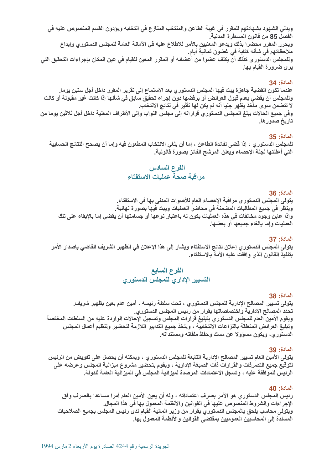. ويدلي الشهود بشهادتهم للمقرر في غيبة الطاعن والمنتخب المنازع في انتخابه ويؤدون القسم المنصوص عليه في الفصل 85 من قانون المسطرة المدنية. ويحرر المقرر محضرا بذلك ويدعو المعنيين بالأمر للاطلاع عليه في الأمانة العامة للمجلس الدستوري وإيداع ِ ملاحظاتهم في شأنه كتابة في غضون ثمانية أيام. وللمجلس الدستور ي كذلك أن يكلف عضوا من أعضائه أو المقرر المعين للقيام في عين المكان بإجراءات التحقيق التي يرى ضرورة القيام بـها<u>.</u>

### **34 :**S("

عندما تكون القضية جاهزة يبت فيها المجلس الدستوري بعد الاستماع إلى تقرير المقرر داخل أجل ستين يوما. وللمجلس أن يقضي بعدم قبول العرائض أو برفضها دون إجراع تحقيق سابق في شأنها إذا كانت غير مقبولة أو كانت لا تتضمن سوى مآخذ يظهر جليا أنه لم يكن لها تأثير في نتائج الانتخاب. وفي جميع الحالات يبلغ المجلس الدستور ي قراراته إلى مجلس النواب وإلى الأطراف المعنية داخل أجل ثلاثين يوما من تاريخ صدور ها.

### **35 :**S("

 للمجلس الدستور ي ، إذا قضى لفائدة الطاعن ، إما أن يلغي الانتخاب المطعون فيه وإما أن يصحح النتائج الحسابية التي أعلنتها لجنة الإحصاء ويعلن المرشح الفائز بصورة قانونية.

## الفرع السادس مراقبة صحة عمليات الاستفتاء

### **36 :**S("

يتولى المجلس الدستور ي مراقبة الإحصاء العام للأصوات المدلى بها في الاستفتاء. وينظر في جميع المطالبات المضمنة في محاضر العمليات ويبت فيها بصورة نهائية. . وإذا عاين وجود مخالفات في هذه العمليات يكون له باعتبار نوعها أو جسامتها أن يقضي إما بالإبقاء على تلك العمليات وإما بإلغاء جميعها أو بعضها.

### **37 :**S("

ـ يتولى المجلس الدستور ي إعلان نتائج الاستفتاء ويشار إلى هذا الإعلان في الظهير الشريف القاضي بإصدار الأمر بتنفيذ القانون الذي وافقت عليه الأمة بالاستفتاء.

## الفرع السابع التسيير الإداري للمجلس الدستور*ي*

### **38 :**S("

ِيتولى تسيير المصالح الإدارية للمجلس الدستوري ، تحت سلطة رئيسه ، أمين عام يعين بظهير شريف. ـ تحدد المصالح الإدارية واختصاصاتها بقرار من رئيس المجلس الدستوري<sub>.</sub> ويقوم الأمين العام للمجلس الدستور ي بتبليغ قرارات المجلس وتسجيل الإحالات الواردة عليه من السلطات المختصة وتبليغ العرائض المتعلقة بالنزاعات الانتخابية ، ويتخذ جميع التدابير اللازمة لتحضير وتنظيم أعمال المجلس الدستوري، ويكون مسؤولا عن مسك وحفظ ملفاته ومستنداته.

### **39 :**S("

ـ يتولى الأمين العام تسيير المصالح الإدارية التابعة للمجلس الدستور ٍ ، ويمكنه أن يحصل على تفويض من الرئيس لتوقيع جميع التصرفات والقرارات ذات الصبغة الإدارية ، ويقوم بتحضير مشروع ميزانية المجلس وعرضه على الرئيس للموافقة عليه ، وتسجل الاعتمادات المرصدة لميزانية المجلس في الميزانية العامة للدولة.

### **40 :**S("

رئيس المجلس الدستوري هو الآمر بصرف اعتماداته ، وله أن يعين الأمين العام آمرا مساعدا بالصرف وفق الإجراءات والشروط المنصوص عليها في القوانين والأنظمة المعمول بها في هذا المجال. ويتولى محاسب يلحق بالمجلس الدستوري بقرار من وزير المالية القيام لدى رئيس المجلس بجميع الصلاحيات المسندة إلى المحاسبين العموميين بمفتضى القوانين والأنظمة المعمول بها.